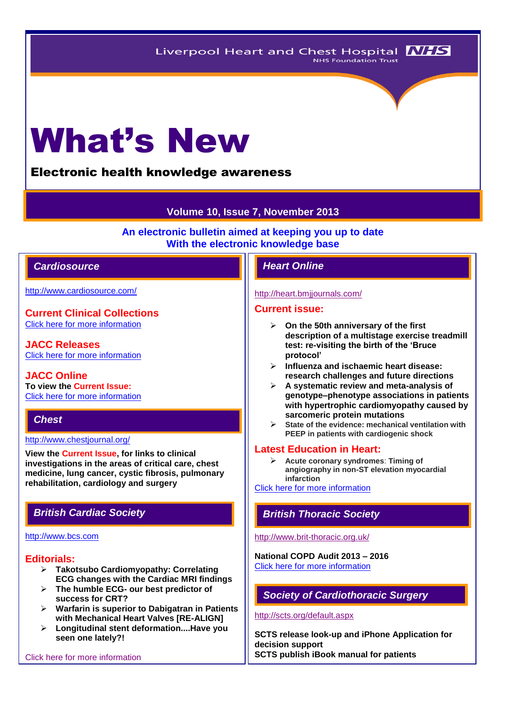# What's New

# Electronic health knowledge awareness

# **Volume 10, Issue 7, November 2013**

**An electronic bulletin aimed at keeping you up to date With the electronic knowledge base**

# *Cardiosource Heart Online*

<http://www.cardiosource.com/>

**Current Clinical Collections** [Click here for more information](http://www.cardiosource.org/science-and-quality/clinical-collections.aspx)

**JACC Releases** [Click here for more information](http://www.cardiosource.org/news-media/media-center/jacc-releases.aspx)

**JACC Online To view the Current Issue:** [Click here for more information](http://content.onlinejacc.org/current.dtl)

# *Chest*

#### <http://www.chestjournal.org/>

**View the Current Issue, for links to clinical investigations in the areas of critical care, chest medicine, lung cancer, cystic fibrosis, pulmonary rehabilitation, cardiology and surgery**

#### [http://www.bcs.com](http://www.bcs.com/)

# **Editorials:**

- **Takotsubo Cardiomyopathy: Correlating ECG changes with the Cardiac MRI findings**
- **The humble ECG- our best predictor of success for CRT?**
- **Warfarin is superior to Dabigatran in Patients with Mechanical Heart Valves [RE-ALIGN]**
- **Longitudinal stent deformation....Have you seen one lately?!**

[Click here for more information](http://www.bcs.com/editorial/editorial.asp)

#### <http://heart.bmjjournals.com/>

#### **Current issue:**

- **On the 50th anniversary of the first description of a multistage exercise treadmill test: re-visiting the birth of the 'Bruce protocol'**
- **Influenza and ischaemic heart disease: research challenges and future directions**
- **A systematic review and meta-analysis of genotype–phenotype associations in patients with hypertrophic cardiomyopathy caused by sarcomeric protein mutations**
- **State of the evidence: mechanical ventilation with PEEP in patients with cardiogenic shock**

#### **Latest Education in Heart:**

 **Acute coronary syndromes**: **Timing of angiography in non-ST elevation myocardial infarction**

[Click here for more information](http://heart.bmj.com/site/about/education.xhtml) 

# *British Cardiac Society British Thoracic Society*

#### <http://www.brit-thoracic.org.uk/>

**National COPD Audit 2013 – 2016** [Click here for more information](http://www.brit-thoracic.org.uk/Audit/National-COPD-Audit-2013-2016.aspx) 

# *Society of Cardiothoracic Surgery*

#### <http://scts.org/default.aspx>

**SCTS release look-up and iPhone Application for decision support SCTS publish iBook manual for patients**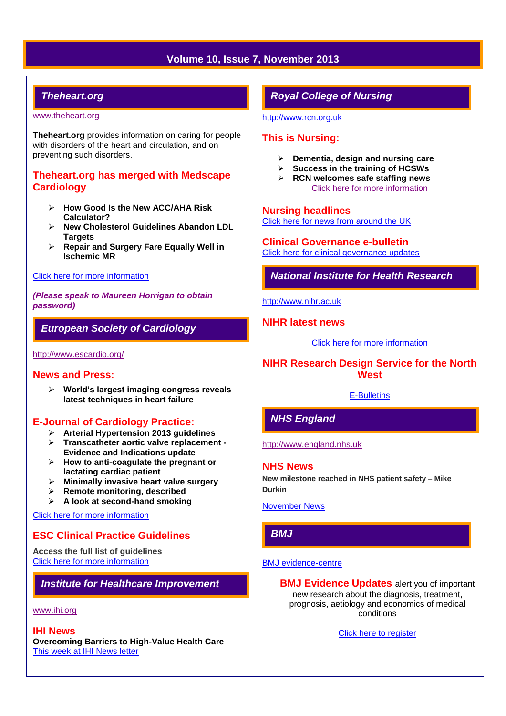# **Volume 10, Issue 7, November 2013**

# *Theheart.org*

#### [www.theheart.org](http://www.theheart.org/)

**Theheart.org** provides information on caring for people with disorders of the heart and circulation, and on preventing such disorders.

# **Theheart.org has merged with Medscape Cardiology**

- **How Good Is the New ACC/AHA Risk Calculator?**
- **New Cholesterol Guidelines Abandon LDL Targets**
- **Repair and Surgery Fare Equally Well in Ischemic MR**

#### [Click here for more information](http://www.medscape.com/cardiology/news)

*(Please speak to Maureen Horrigan to obtain password)*

# *European Society of Cardiology*

<http://www.escardio.org/>

#### **News and Press:**

 **World's largest imaging congress reveals latest techniques in heart failure**

# **E-Journal of Cardiology Practice:**

- **Arterial Hypertension 2013 guidelines**
- **Transcatheter aortic valve replacement - Evidence and Indications update**
- **How to anti-coagulate the pregnant or lactating cardiac patient**
- **Minimally invasive heart valve surgery**
- **Remote monitoring, described**
- **A look at second-hand smoking**

[Click here for more information](http://www.escardio.org/communities/councils/ccp/e-journal/volume12/Pages/welcome.aspx)

# **ESC Clinical Practice Guidelines**

**Access the full list of guidelines**  [Click here for more information](http://www.escardio.org/guidelines-surveys/esc-guidelines/Pages/GuidelinesList.aspx)

# *Institute for Healthcare Improvement*

#### [www.ihi.org](http://www.ihi.org/)

#### **IHI News**

**Overcoming Barriers to High-Value Health Care** [This week at IHI News letter](http://www.ihi.org/Documents/ThisWeekatIHI.htm) 

# *Royal College of Nursing*

[http://www.rcn.org.uk](http://www.rcn.org.uk/)

# **This is Nursing:**

- **Dementia, design and nursing care**
- **Success in the training of HCSWs**
- **RCN welcomes safe staffing news** [Click here for more information](http://thisisnursing.rcn.org.uk/members/)

#### **Nursing headlines**

[Click here for news from around the UK](http://www.rcn.org.uk/newsevents/news)

### **Clinical Governance e-bulletin**

[Click here for clinical governance updates](http://www.rcn.org.uk/development/practice/clinical_governance/quality_and_safety_e-bulletin/e-bulletin_archive)

*National Institute for Health Research* 

[http://www.nihr.ac.uk](http://www.nihr.ac.uk/)

## **NIHR latest news**

[Click here for more information](http://www.nihr.ac.uk/news/Pages/default.aspx)

# **NIHR Research Design Service for the North West**

#### [E-Bulletins](http://www.rds-nw.nihr.ac.uk/newstrainingevents/ebulletin.php)

# *NHS England*

[http://www.england.nhs.uk](http://www.england.nhs.uk/)

#### **NHS News**

**New milestone reached in NHS patient safety – Mike Durkin**

[November News](http://www.england.nhs.uk/2013/11/)

# *BMJ*

#### [BMJ evidence-centre](http://group.bmj.com/products/evidence-centre/evidence-updates)

**BMJ Evidence Updates** alert you of important new research about the diagnosis, treatment, prognosis, aetiology and economics of medical conditions

[Click here to register](http://plus.mcmaster.ca/EvidenceUpdates/Registration.aspx)